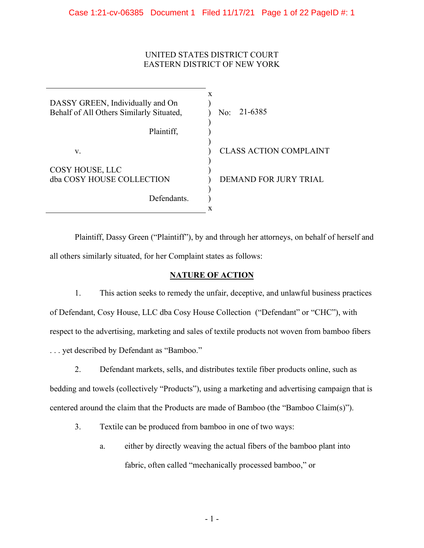## UNITED STATES DISTRICT COURT EASTERN DISTRICT OF NEW YORK

DASSY GREEN, Individually and On Behalf of All Others Similarly Situated, Plaintiff, v. COSY HOUSE, LLC dba COSY HOUSE COLLECTION Defendants. x )  $\lambda$ ) ) )  $\lambda$ ) ) ) ) ) x No: CLASS ACTION COMPLAINT DEMAND FOR JURY TRIAL 21-6385

Plaintiff, Dassy Green ("Plaintiff"), by and through her attorneys, on behalf of herself and all others similarly situated, for her Complaint states as follows:

## **NATURE OF ACTION**

1. This action seeks to remedy the unfair, deceptive, and unlawful business practices of Defendant, Cosy House, LLC dba Cosy House Collection ("Defendant" or "CHC"), with respect to the advertising, marketing and sales of textile products not woven from bamboo fibers ... yet described by Defendant as "Bamboo."

2. Defendant markets, sells, and distributes textile fiber products online, such as

bedding and towels (collectively "Products"), using a marketing and advertising campaign that is centered around the claim that the Products are made of Bamboo (the "Bamboo Claim(s)").

- 3. Textile can be produced from bamboo in one of two ways:
	- a. either by directly weaving the actual fibers of the bamboo plant into fabric, often called "mechanically processed bamboo," or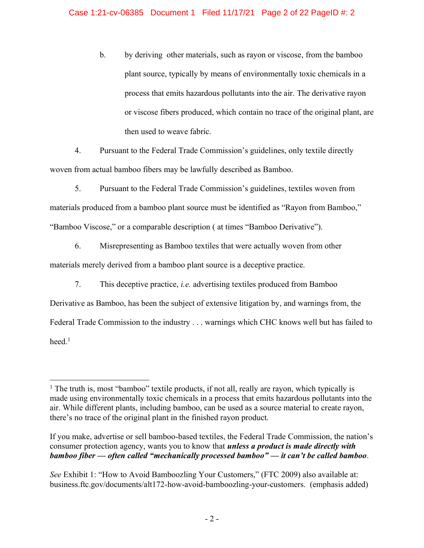b. by deriving other materials, such as rayon or viscose, from the bamboo plant source, typically by means of environmentally toxic chemicals in a process that emits hazardous pollutants into the air. The derivative rayon or viscose fibers produced, which contain no trace of the original plant, are then used to weave fabric.

4. Pursuant to the Federal Trade Commission's guidelines, only textile directly woven from actual bamboo fibers may be lawfully described as Bamboo.

5. Pursuant to the Federal Trade Commission's guidelines, textiles woven from materials produced from a bamboo plant source must be identified as "Rayon from Bamboo," "Bamboo Viscose," or a comparable description ( at times "Bamboo Derivative").

6. Misrepresenting as Bamboo textiles that were actually woven from other materials merely derived from a bamboo plant source is a deceptive practice.

7. This deceptive practice, *i.e.* advertising textiles produced from Bamboo

Derivative as Bamboo, has been the subject of extensive litigation by, and warnings from, the Federal Trade Commission to the industry . . . warnings which CHC knows well but has failed to heed. 1

<sup>&</sup>lt;sup>1</sup> The truth is, most "bamboo" textile products, if not all, really are rayon, which typically is made using environmentally toxic chemicals in a process that emits hazardous pollutants into the air. While different plants, including bamboo, can be used as a source material to create rayon, there's no trace of the original plant in the finished rayon product.

If you make, advertise or sell bamboo-based textiles, the Federal Trade Commission, the nation's consumer protection agency, wants you to know that *unless a product is made directly with bamboo fiber* — *often called "mechanically processed bamboo"* — *it can't be called bamboo*.

*See* Exhibit 1: "How to Avoid Bamboozling Your Customers," (FTC 2009) also available at: business.ftc.gov/documents/alt172-how-avoid-bamboozling-your-customers. (emphasis added)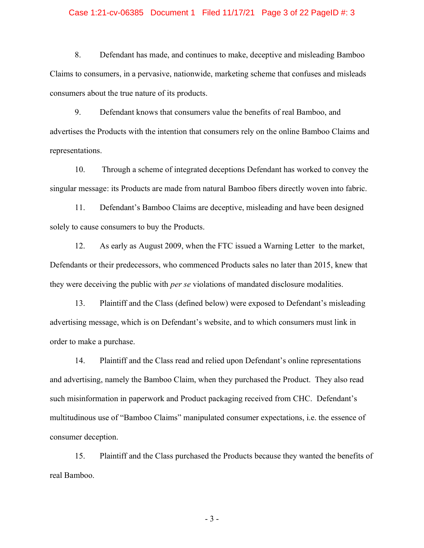#### Case 1:21-cv-06385 Document 1 Filed 11/17/21 Page 3 of 22 PageID #: 3

8. Defendant has made, and continues to make, deceptive and misleading Bamboo Claims to consumers, in a pervasive, nationwide, marketing scheme that confuses and misleads consumers about the true nature of its products.

9. Defendant knows that consumers value the benefits of real Bamboo, and advertises the Products with the intention that consumers rely on the online Bamboo Claims and representations.

10. Through a scheme of integrated deceptions Defendant has worked to convey the singular message: its Products are made from natural Bamboo fibers directly woven into fabric.

11. Defendant's Bamboo Claims are deceptive, misleading and have been designed solely to cause consumers to buy the Products.

12. As early as August 2009, when the FTC issued a Warning Letter to the market, Defendants or their predecessors, who commenced Products sales no later than 2015, knew that they were deceiving the public with *per se* violations of mandated disclosure modalities.

13. Plaintiff and the Class (defined below) were exposed to Defendant's misleading advertising message, which is on Defendant's website, and to which consumers must link in order to make a purchase.

14. Plaintiff and the Class read and relied upon Defendant's online representations and advertising, namely the Bamboo Claim, when they purchased the Product. They also read such misinformation in paperwork and Product packaging received from CHC. Defendant's multitudinous use of "Bamboo Claims" manipulated consumer expectations, i.e. the essence of consumer deception.

15. Plaintiff and the Class purchased the Products because they wanted the benefits of real Bamboo.

- 3 -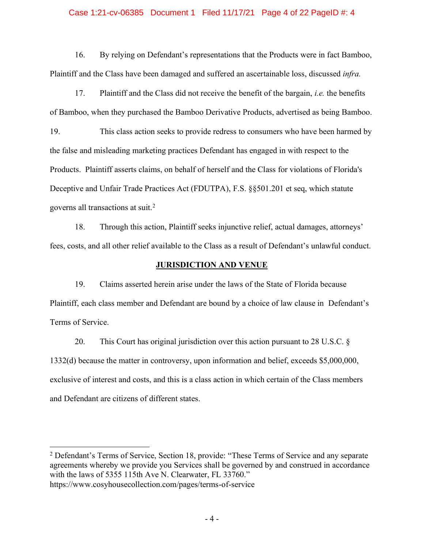#### Case 1:21-cv-06385 Document 1 Filed 11/17/21 Page 4 of 22 PageID #: 4

16. By relying on Defendant's representations that the Products were in fact Bamboo, Plaintiff and the Class have been damaged and suffered an ascertainable loss, discussed *infra.*

17. Plaintiff and the Class did not receive the benefit of the bargain, *i.e.* the benefits of Bamboo, when they purchased the Bamboo Derivative Products, advertised as being Bamboo.

19. This class action seeks to provide redress to consumers who have been harmed by the false and misleading marketing practices Defendant has engaged in with respect to the Products. Plaintiff asserts claims, on behalf of herself and the Class for violations of Florida's Deceptive and Unfair Trade Practices Act (FDUTPA), F.S. §§501.201 et seq, which statute governs all transactions at suit.<sup>2</sup>

18. Through this action, Plaintiff seeks injunctive relief, actual damages, attorneys' fees, costs, and all other relief available to the Class as a result of Defendant's unlawful conduct.

## **JURISDICTION AND VENUE**

19. Claims asserted herein arise under the laws of the State of Florida because Plaintiff, each class member and Defendant are bound by a choice of law clause in Defendant's Terms of Service.

20. This Court has original jurisdiction over this action pursuant to 28 U.S.C. § 1332(d) because the matter in controversy, upon information and belief, exceeds \$5,000,000, exclusive of interest and costs, and this is a class action in which certain of the Class members and Defendant are citizens of different states.

<sup>&</sup>lt;sup>2</sup> Defendant's Terms of Service, Section 18, provide: "These Terms of Service and any separate agreements whereby we provide you Services shall be governed by and construed in accordance with the laws of 5355 115th Ave N. Clearwater, FL 33760."

https://www.cosyhousecollection.com/pages/terms-of-service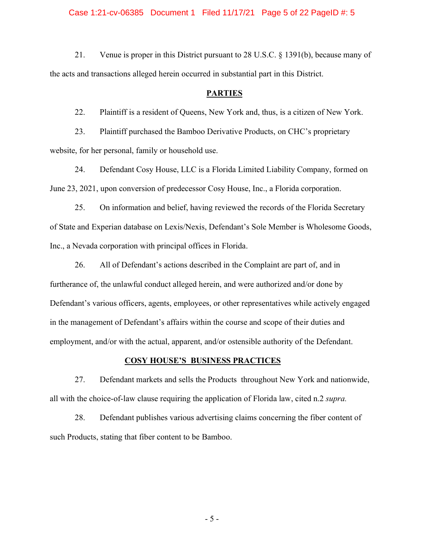Case 1:21-cv-06385 Document 1 Filed 11/17/21 Page 5 of 22 PageID #: 5

21. Venue is proper in this District pursuant to 28 U.S.C. § 1391(b), because many of the acts and transactions alleged herein occurred in substantial part in this District.

#### **PARTIES**

22. Plaintiff is a resident of Queens, New York and, thus, is a citizen of New York.

23. Plaintiff purchased the Bamboo Derivative Products, on CHC's proprietary website, for her personal, family or household use.

24. Defendant Cosy House, LLC is a Florida Limited Liability Company, formed on June 23, 2021, upon conversion of predecessor Cosy House, Inc., a Florida corporation.

25. On information and belief, having reviewed the records of the Florida Secretary of State and Experian database on Lexis/Nexis, Defendant's Sole Member is Wholesome Goods, Inc., a Nevada corporation with principal offices in Florida.

26. All of Defendant's actions described in the Complaint are part of, and in furtherance of, the unlawful conduct alleged herein, and were authorized and/or done by Defendant's various officers, agents, employees, or other representatives while actively engaged in the management of Defendant's affairs within the course and scope of their duties and employment, and/or with the actual, apparent, and/or ostensible authority of the Defendant.

#### **COSY HOUSE'S BUSINESS PRACTICES**

27. Defendant markets and sells the Products throughout New York and nationwide, all with the choice-of-law clause requiring the application of Florida law, cited n.2 *supra.*

28. Defendant publishes various advertising claims concerning the fiber content of such Products, stating that fiber content to be Bamboo.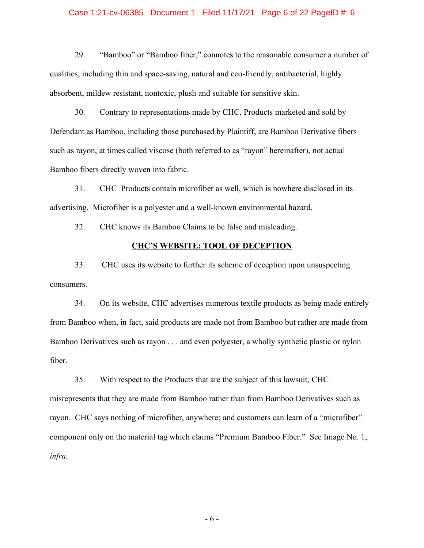#### Case 1:21-cv-06385 Document 1 Filed 11/17/21 Page 6 of 22 PageID #: 6

29. "Bamboo" or "Bamboo fiber," connotes to the reasonable consumer a number of qualities, including thin and space-saving, natural and eco-friendly, antibacterial, highly absorbent, mildew resistant, nontoxic, plush and suitable for sensitive skin.

30. Contrary to representations made by CHC, Products marketed and sold by Defendant as Bamboo, including those purchased by Plaintiff, are Bamboo Derivative fibers such as rayon, at times called viscose (both referred to as "rayon" hereinafter), not actual Bamboo fibers directly woven into fabric.

31. CHC Products contain microfiber as well, which is nowhere disclosed in its advertising. Microfiber is a polyester and a well-known environmental hazard.

32. CHC knows its Bamboo Claims to be false and misleading.

## **CHC¶S WEBSITE: TOOL OF DECEPTION**

33. CHC uses its website to further its scheme of deception upon unsuspecting consumers.

34. On its website, CHC advertises numerous textile products as being made entirely from Bamboo when, in fact, said products are made not from Bamboo but rather are made from Bamboo Derivatives such as rayon . . . and even polyester, a wholly synthetic plastic or nylon fiber.

35. With respect to the Products that are the subject of this lawsuit, CHC misrepresents that they are made from Bamboo rather than from Bamboo Derivatives such as rayon. CHC says nothing of microfiber, anywhere; and customers can learn of a "microfiber" component only on the material tag which claims "Premium Bamboo Fiber." See Image No. 1, *infra.*

- 6 -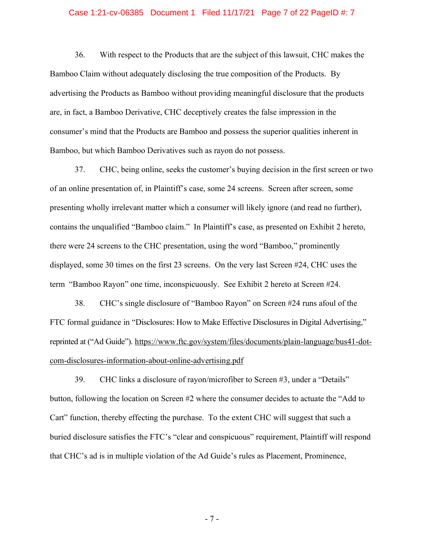#### Case 1:21-cv-06385 Document 1 Filed 11/17/21 Page 7 of 22 PageID #: 7

36. With respect to the Products that are the subject of this lawsuit, CHC makes the Bamboo Claim without adequately disclosing the true composition of the Products. By advertising the Products as Bamboo without providing meaningful disclosure that the products are, in fact, a Bamboo Derivative, CHC deceptively creates the false impression in the consumer's mind that the Products are Bamboo and possess the superior qualities inherent in Bamboo, but which Bamboo Derivatives such as rayon do not possess.

37. CHC, being online, seeks the customer's buying decision in the first screen or two of an online presentation of, in Plaintiff's case, some 24 screens. Screen after screen, some presenting wholly irrelevant matter which a consumer will likely ignore (and read no further), contains the unqualified "Bamboo claim." In Plaintiff's case, as presented on Exhibit 2 hereto, there were 24 screens to the CHC presentation, using the word "Bamboo," prominently displayed, some 30 times on the first 23 screens. On the very last Screen #24, CHC uses the term "Bamboo Rayon" one time, inconspicuously. See Exhibit 2 hereto at Screen  $#24$ .

38. CHC's single disclosure of "Bamboo Rayon" on Screen #24 runs afoul of the FTC formal guidance in "Disclosures: How to Make Effective Disclosures in Digital Advertising," reprinted at ("Ad Guide"). [https://www.ftc.gov/system/files/documents/plain-language/bus41-dot](https://www.ftc.gov/system/files/documents/plain-language/bus41-dot-com-disclosures-information-about-online-advertising.pdf)[com-disclosures-information-about-online-advertising.pdf](https://www.ftc.gov/system/files/documents/plain-language/bus41-dot-com-disclosures-information-about-online-advertising.pdf)

39. CHC links a disclosure of rayon/microfiber to Screen  $#3$ , under a "Details" button, following the location on Screen  $#2$  where the consumer decides to actuate the "Add to" Cart" function, thereby effecting the purchase. To the extent CHC will suggest that such a buried disclosure satisfies the FTC's "clear and conspicuous" requirement, Plaintiff will respond that CHC's ad is in multiple violation of the Ad Guide's rules as Placement, Prominence,

- 7 -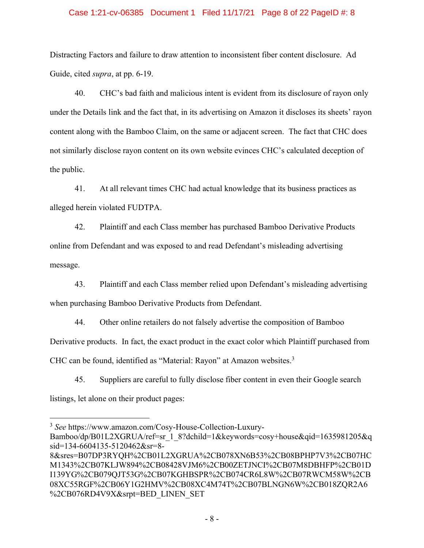#### Case 1:21-cv-06385 Document 1 Filed 11/17/21 Page 8 of 22 PageID #: 8

Distracting Factors and failure to draw attention to inconsistent fiber content disclosure. Ad Guide, cited *supra*, at pp. 6-19.

40. CHC¶s bad faith and malicious intent is evident from its disclosure of rayon only under the Details link and the fact that, in its advertising on Amazon it discloses its sheets' rayon content along with the Bamboo Claim, on the same or adjacent screen. The fact that CHC does not similarly disclose rayon content on its own website evinces CHC's calculated deception of the public.

41. At all relevant times CHC had actual knowledge that its business practices as alleged herein violated FUDTPA.

42. Plaintiff and each Class member has purchased Bamboo Derivative Products online from Defendant and was exposed to and read Defendant's misleading advertising message.

43. Plaintiff and each Class member relied upon Defendant's misleading advertising when purchasing Bamboo Derivative Products from Defendant.

44. Other online retailers do not falsely advertise the composition of Bamboo Derivative products. In fact, the exact product in the exact color which Plaintiff purchased from CHC can be found, identified as "Material: Rayon" at Amazon websites.<sup>3</sup>

45. Suppliers are careful to fully disclose fiber content in even their Google search listings, let alone on their product pages:

<sup>3</sup> *See* https://www.amazon.com/Cosy-House-Collection-Luxury-

Bamboo/dp/B01L2XGRUA/ref=sr\_1\_8?dchild=1&keywords=cosy+house&qid=1635981205&q sid=134-6604135-5120462&sr=8-

<sup>8&</sup>amp;sres=B07DP3RYQH%2CB01L2XGRUA%2CB078XN6B53%2CB08BPHP7V3%2CB07HC M1343%2CB07KLJW894%2CB08428VJM6%2CB00ZETJNCI%2CB07M8DBHFP%2CB01D I139YG%2CB079QJT53G%2CB07KGHBSPR%2CB074CR6L8W%2CB07RWCM58W%2CB 08XC55RGF%2CB06Y1G2HMV%2CB08XC4M74T%2CB07BLNGN6W%2CB018ZQR2A6 %2CB076RD4V9X&srpt=BED\_LINEN\_SET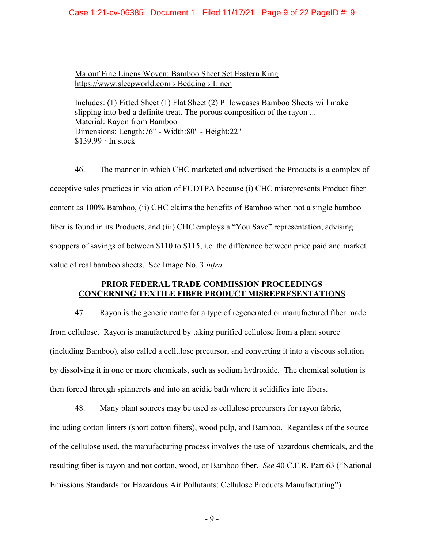#### Case 1:21-cv-06385 Document 1 Filed 11/17/21 Page 9 of 22 PageID #: 9

[Malouf Fine Linens Woven: Bamboo Sheet Set Eastern King](%C3%BE%C3%BF) [https://www.sleepworld.com](%C3%BE%C3%BF) > Bedding > Linen

Includes: (1) Fitted Sheet (1) Flat Sheet (2) Pillowcases Bamboo Sheets will make slipping into bed a definite treat. The porous composition of the rayon ... Material: Rayon from Bamboo Dimensions: Length:76" - Width:80" - Height:22" \$139.99 · In stock

46. The manner in which CHC marketed and advertised the Products is a complex of deceptive sales practices in violation of FUDTPA because (i) CHC misrepresents Product fiber content as 100% Bamboo, (ii) CHC claims the benefits of Bamboo when not a single bamboo fiber is found in its Products, and (iii) CHC employs a "You Save" representation, advising shoppers of savings of between \$110 to \$115, i.e. the difference between price paid and market value of real bamboo sheets. See Image No. 3 *infra.*

## **PRIOR FEDERAL TRADE COMMISSION PROCEEDINGS CONCERNING TEXTILE FIBER PRODUCT MISREPRESENTATIONS**

47. Rayon is the generic name for a type of regenerated or manufactured fiber made from cellulose. Rayon is manufactured by taking purified cellulose from a plant source (including Bamboo), also called a cellulose precursor, and converting it into a viscous solution by dissolving it in one or more chemicals, such as sodium hydroxide. The chemical solution is then forced through spinnerets and into an acidic bath where it solidifies into fibers.

48. Many plant sources may be used as cellulose precursors for rayon fabric, including cotton linters (short cotton fibers), wood pulp, and Bamboo. Regardless of the source of the cellulose used, the manufacturing process involves the use of hazardous chemicals, and the resulting fiber is rayon and not cotton, wood, or Bamboo fiber. *See* 40 C.F.R. Part 63 ("National Emissions Standards for Hazardous Air Pollutants: Cellulose Products Manufacturing").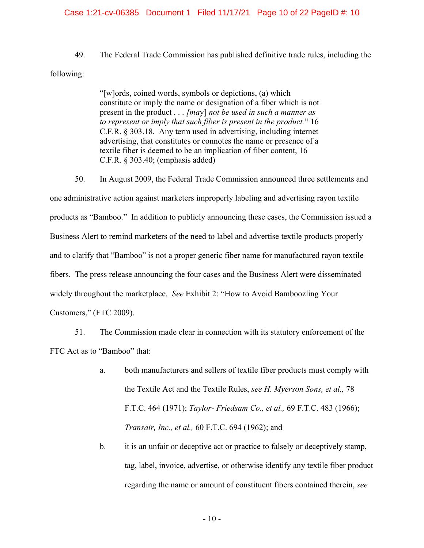#### Case 1:21-cv-06385 Document 1 Filed 11/17/21 Page 10 of 22 PageID #: 10

49. The Federal Trade Commission has published definitive trade rules, including the

following:

"[w]ords, coined words, symbols or depictions, (a) which constitute or imply the name or designation of a fiber which is not present in the product . . . *[ma*y] *not be used in such a manner as to represent or imply that such fiber is present in the product.*´ 16 C.F.R. § 303.18. Any term used in advertising, including internet advertising, that constitutes or connotes the name or presence of a textile fiber is deemed to be an implication of fiber content, 16 C.F.R. § 303.40; (emphasis added)

50. In August 2009, the Federal Trade Commission announced three settlements and one administrative action against marketers improperly labeling and advertising rayon textile products as "Bamboo." In addition to publicly announcing these cases, the Commission issued a Business Alert to remind marketers of the need to label and advertise textile products properly and to clarify that "Bamboo" is not a proper generic fiber name for manufactured rayon textile fibers. The press release announcing the four cases and the Business Alert were disseminated widely throughout the marketplace. *See* Exhibit 2: "How to Avoid Bamboozling Your Customers," (FTC 2009).

51. The Commission made clear in connection with its statutory enforcement of the FTC Act as to "Bamboo" that:

- a. both manufacturers and sellers of textile fiber products must comply with the Textile Act and the Textile Rules, *see H. Myerson Sons, et al.,* 78 F.T.C. 464 (1971); *Taylor- Friedsam Co., et al.,* 69 F.T.C. 483 (1966); *Transair, Inc., et al.,* 60 F.T.C. 694 (1962); and
- b. it is an unfair or deceptive act or practice to falsely or deceptively stamp, tag, label, invoice, advertise, or otherwise identify any textile fiber product regarding the name or amount of constituent fibers contained therein, *see*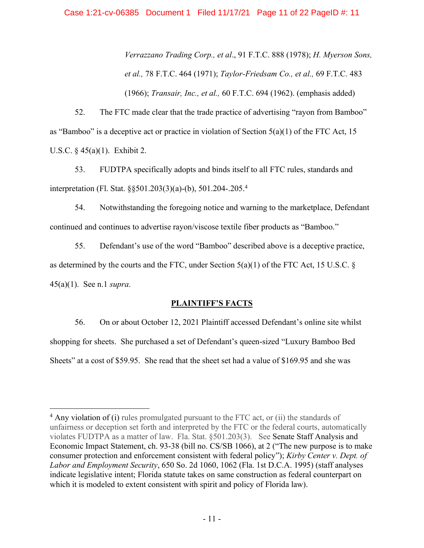*Verrazzano Trading Corp., et al*., 91 F.T.C. 888 (1978); *H. Myerson Sons, et al.,* 78 F.T.C. 464 (1971); *Taylor-Friedsam Co., et al.,* 69 F.T.C. 483 (1966); *Transair, Inc., et al.,* 60 F.T.C. 694 (1962). (emphasis added)

52. The FTC made clear that the trade practice of advertising "rayon from Bamboo" as "Bamboo" is a deceptive act or practice in violation of Section  $5(a)(1)$  of the FTC Act, 15 U.S.C. § 45(a)(1). Exhibit 2.

53. FUDTPA specifically adopts and binds itself to all FTC rules, standards and interpretation (Fl. Stat. §§501.203(3)(a)-(b), 501.204-.205.4

54. Notwithstanding the foregoing notice and warning to the marketplace, Defendant continued and continues to advertise rayon/viscose textile fiber products as "Bamboo."

55. Defendant's use of the word "Bamboo" described above is a deceptive practice, as determined by the courts and the FTC, under Section  $5(a)(1)$  of the FTC Act, 15 U.S.C. § 45(a)(1). See n.1 *supra*.

## **PLAINTIFF'S FACTS**

56. On or about October 12, 2021 Plaintiff accessed Defendant's online site whilst shopping for sheets. She purchased a set of Defendant's queen-sized "Luxury Bamboo Bed" Sheets' at a cost of \$59.95. She read that the sheet set had a value of \$169.95 and she was

<sup>&</sup>lt;sup>4</sup> Any violation of (i) rules promulgated pursuant to the FTC act, or (ii) the standards of unfairness or deception set forth and interpreted by the FTC or the federal courts, automatically violates FUDTPA as a matter of law. Fla. Stat. §501.203(3). See Senate Staff Analysis and Economic Impact Statement, ch. 93-38 (bill no. CS/SB 1066), at 2 ("The new purpose is to make consumer protection and enforcement consistent with federal policy"); *Kirby Center v. Dept. of Labor and Employment Security*, 650 So. 2d 1060, 1062 (Fla. 1st D.C.A. 1995) (staff analyses indicate legislative intent; Florida statute takes on same construction as federal counterpart on which it is modeled to extent consistent with spirit and policy of Florida law).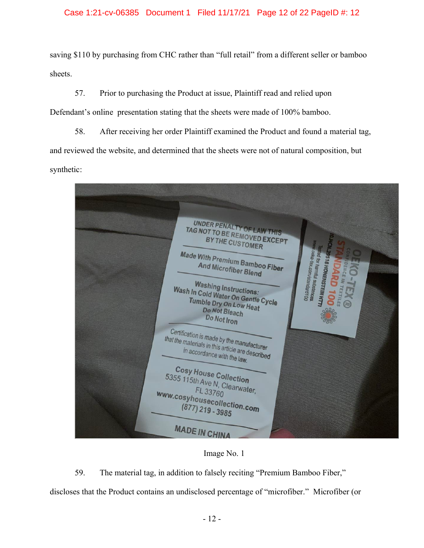## Case 1:21-cv-06385 Document 1 Filed 11/17/21 Page 12 of 22 PageID #: 12

saving \$110 by purchasing from CHC rather than "full retail" from a different seller or bamboo sheets.

57. Prior to purchasing the Product at issue, Plaintiff read and relied upon Defendant's online presentation stating that the sheets were made of 100% bamboo.

58. After receiving her order Plaintiff examined the Product and found a material tag, and reviewed the website, and determined that the sheets were not of natural composition, but synthetic:

| <b>UNDER PENALTY OF LAW THIS</b><br>TAG NOT TO BE REMOVED EXCEPT<br><b>BY THE CUSTOMER</b><br>Oo Lax.com/standard100<br><b>Made With Premium Bamboo Fiber</b><br>d for harmful substances<br><sup>ST8 HONENSTEIN HTTL</sup><br><b>And Microfiber Blend</b><br><b>Washing Instructions:</b><br>TEXTILES<br>Wash In Cold Water On Gentle Cycle<br>Tumble Dry On Low Heat<br>Do Not Bleach<br>Do Not Iron<br>Certification is made by the manufacturer<br>that the materials in this article are described<br>in accordance with the law.<br><b>Cosy House Collection</b><br>5355 115th Ave N, Clearwater,<br>FL 33760<br>www.cosyhousecollection.com<br>$(877)$ 219 - 3985 | <b>SENCE IN</b><br>Θ |
|--------------------------------------------------------------------------------------------------------------------------------------------------------------------------------------------------------------------------------------------------------------------------------------------------------------------------------------------------------------------------------------------------------------------------------------------------------------------------------------------------------------------------------------------------------------------------------------------------------------------------------------------------------------------------|----------------------|
| <b>MADE IN CHINA</b>                                                                                                                                                                                                                                                                                                                                                                                                                                                                                                                                                                                                                                                     |                      |

Image No. 1

59. The material tag, in addition to falsely reciting "Premium Bamboo Fiber,"

discloses that the Product contains an undisclosed percentage of "microfiber." Microfiber (or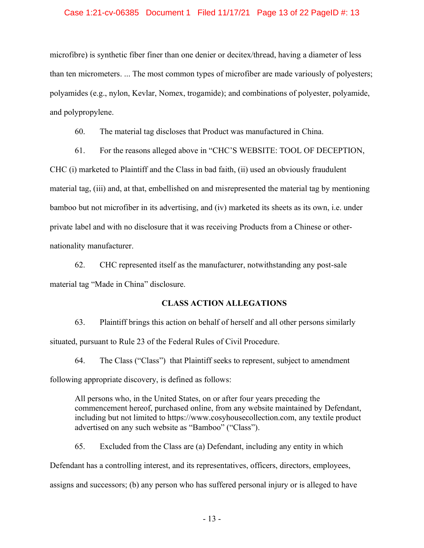#### Case 1:21-cv-06385 Document 1 Filed 11/17/21 Page 13 of 22 PageID #: 13

microfibre) is synthetic fiber finer than one denier or decitex/thread, having a diameter of less than ten micrometers. ... The most common types of microfiber are made variously of polyesters; polyamides (e.g., nylon, Kevlar, Nomex, trogamide); and combinations of polyester, polyamide, and polypropylene.

60. The material tag discloses that Product was manufactured in China.

61. For the reasons alleged above in "CHC'S WEBSITE: TOOL OF DECEPTION,

CHC (i) marketed to Plaintiff and the Class in bad faith, (ii) used an obviously fraudulent material tag, (iii) and, at that, embellished on and misrepresented the material tag by mentioning bamboo but not microfiber in its advertising, and (iv) marketed its sheets as its own, i.e. under private label and with no disclosure that it was receiving Products from a Chinese or othernationality manufacturer.

62. CHC represented itself as the manufacturer, notwithstanding any post-sale material tag "Made in China" disclosure.

#### **CLASS ACTION ALLEGATIONS**

63. Plaintiff brings this action on behalf of herself and all other persons similarly situated, pursuant to Rule 23 of the Federal Rules of Civil Procedure.

64. The Class ("Class") that Plaintiff seeks to represent, subject to amendment

following appropriate discovery, is defined as follows:

All persons who, in the United States, on or after four years preceding the commencement hereof, purchased online, from any website maintained by Defendant, including but not limited to https://www.cosyhousecollection.com, any textile product advertised on any such website as "Bamboo" ("Class").

65. Excluded from the Class are (a) Defendant, including any entity in which Defendant has a controlling interest, and its representatives, officers, directors, employees, assigns and successors; (b) any person who has suffered personal injury or is alleged to have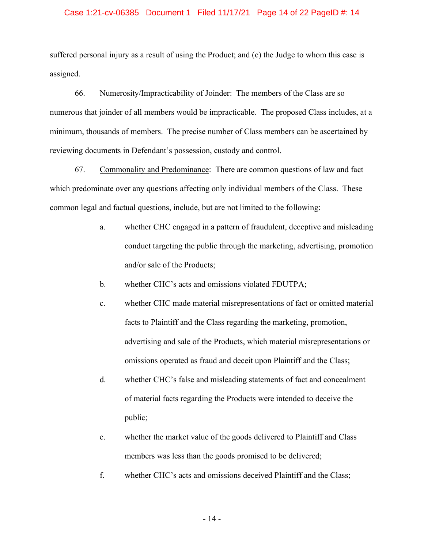#### Case 1:21-cv-06385 Document 1 Filed 11/17/21 Page 14 of 22 PageID #: 14

suffered personal injury as a result of using the Product; and (c) the Judge to whom this case is assigned.

66. Numerosity/Impracticability of Joinder: The members of the Class are so numerous that joinder of all members would be impracticable. The proposed Class includes, at a minimum, thousands of members. The precise number of Class members can be ascertained by reviewing documents in Defendant's possession, custody and control.

67. Commonality and Predominance: There are common questions of law and fact which predominate over any questions affecting only individual members of the Class. These common legal and factual questions, include, but are not limited to the following:

- a. whether CHC engaged in a pattern of fraudulent, deceptive and misleading conduct targeting the public through the marketing, advertising, promotion and/or sale of the Products;
- b. whether CHC's acts and omissions violated FDUTPA;
- c. whether CHC made material misrepresentations of fact or omitted material facts to Plaintiff and the Class regarding the marketing, promotion, advertising and sale of the Products, which material misrepresentations or omissions operated as fraud and deceit upon Plaintiff and the Class;
- d. whether CHC's false and misleading statements of fact and concealment of material facts regarding the Products were intended to deceive the public;
- e. whether the market value of the goods delivered to Plaintiff and Class members was less than the goods promised to be delivered;
- f. whether CHC's acts and omissions deceived Plaintiff and the Class;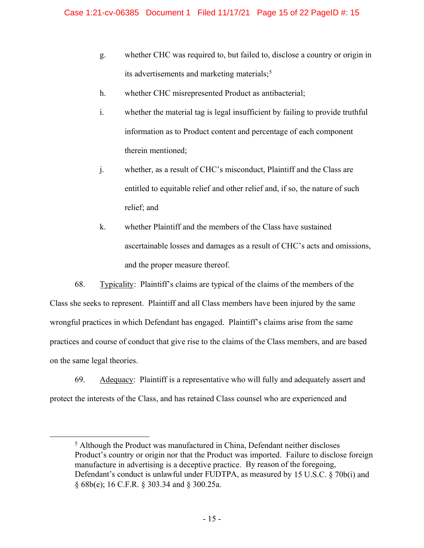- g. whether CHC was required to, but failed to, disclose a country or origin in its advertisements and marketing materials;<sup>5</sup>
- h. whether CHC misrepresented Product as antibacterial;
- i. whether the material tag is legal insufficient by failing to provide truthful information as to Product content and percentage of each component therein mentioned;
- j. whether, as a result of CHC's misconduct, Plaintiff and the Class are entitled to equitable relief and other relief and, if so, the nature of such relief; and
- k. whether Plaintiff and the members of the Class have sustained ascertainable losses and damages as a result of CHC's acts and omissions, and the proper measure thereof.

68. Typicality: Plaintiff's claims are typical of the claims of the members of the Class she seeks to represent. Plaintiff and all Class members have been injured by the same wrongful practices in which Defendant has engaged. Plaintiff's claims arise from the same practices and course of conduct that give rise to the claims of the Class members, and are based on the same legal theories.

69. Adequacy: Plaintiff is a representative who will fully and adequately assert and protect the interests of the Class, and has retained Class counsel who are experienced and

<sup>5</sup> Although the Product was manufactured in China, Defendant neither discloses Product's country or origin nor that the Product was imported. Failure to disclose foreign manufacture in advertising is a deceptive practice. By reason of the foregoing, Defendant's conduct is unlawful under FUDTPA, as measured by 15 U.S.C.  $\S$  70b(i) and § 68b(e); 16 C.F.R. § 303.34 and § 300.25a.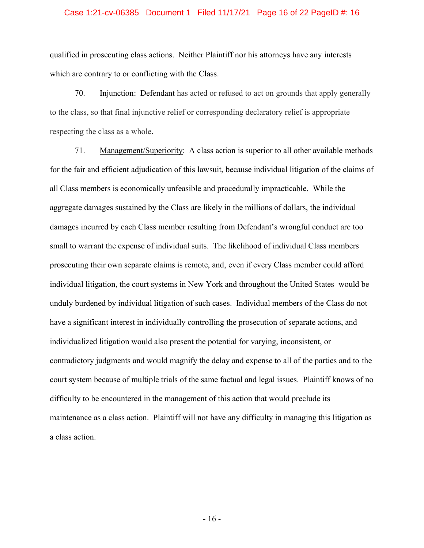#### Case 1:21-cv-06385 Document 1 Filed 11/17/21 Page 16 of 22 PageID #: 16

qualified in prosecuting class actions. Neither Plaintiff nor his attorneys have any interests which are contrary to or conflicting with the Class.

70. Injunction: Defendant has acted or refused to act on grounds that apply generally to the class, so that final injunctive relief or corresponding declaratory relief is appropriate respecting the class as a whole.

71. Management/Superiority: A class action is superior to all other available methods for the fair and efficient adjudication of this lawsuit, because individual litigation of the claims of all Class members is economically unfeasible and procedurally impracticable. While the aggregate damages sustained by the Class are likely in the millions of dollars, the individual damages incurred by each Class member resulting from Defendant's wrongful conduct are too small to warrant the expense of individual suits. The likelihood of individual Class members prosecuting their own separate claims is remote, and, even if every Class member could afford individual litigation, the court systems in New York and throughout the United States would be unduly burdened by individual litigation of such cases. Individual members of the Class do not have a significant interest in individually controlling the prosecution of separate actions, and individualized litigation would also present the potential for varying, inconsistent, or contradictory judgments and would magnify the delay and expense to all of the parties and to the court system because of multiple trials of the same factual and legal issues. Plaintiff knows of no difficulty to be encountered in the management of this action that would preclude its maintenance as a class action. Plaintiff will not have any difficulty in managing this litigation as a class action.

- 16 -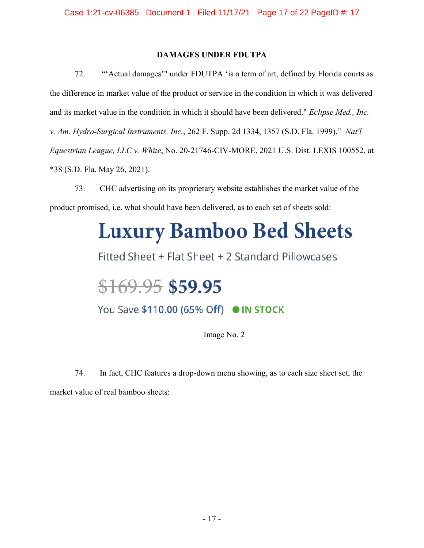## **DAMAGES UNDER FDUTPA**

72. "Actual damages" under FDUTPA 'is a term of art, defined by Florida courts as the difference in market value of the product or service in the condition in which it was delivered and its market value in the condition in which it should have been delivered." *Eclipse Med., Inc. v. Am. Hydro-Surgical Instruments, Inc.*, 262 F. Supp. 2d 1334, 1357 (S.D. Fla. 1999).´ *[Nat'l](https://advance.lexis.com/api/document/collection/cases/id/62SM-JFR1-JTGH-B0P6-00000-00?page=38&reporter=1293&cite=2021%20U.S.%20Dist.%20LEXIS%20100552&context=1000516) Equestrian League, LLC v. White*, No. [20-21746-CIV-MORE,](https://advance.lexis.com/api/document/collection/cases/id/62SM-JFR1-JTGH-B0P6-00000-00?page=38&reporter=1293&cite=2021%20U.S.%20Dist.%20LEXIS%20100552&context=1000516) 2021 U.S. Dist. LEXIS 100552, at \*38 (S.D. Fla. May 26, [2021\).](https://advance.lexis.com/api/document/collection/cases/id/62SM-JFR1-JTGH-B0P6-00000-00?page=38&reporter=1293&cite=2021%20U.S.%20Dist.%20LEXIS%20100552&context=1000516)

73. CHC advertising on its proprietary website establishes the market value of the product promised, i.e. what should have been delivered, as to each set of sheets sold:

# **Luxury Bamboo Bed Sheets**

Fitted Sheet + Flat Sheet + 2 Standard Pillowcases

## $$169.95$$ \$59.95

You Save \$110.00 (65% Off) ● IN STOCK

Image No. 2

74. In fact, CHC features a drop-down menu showing, as to each size sheet set, the market value of real bamboo sheets: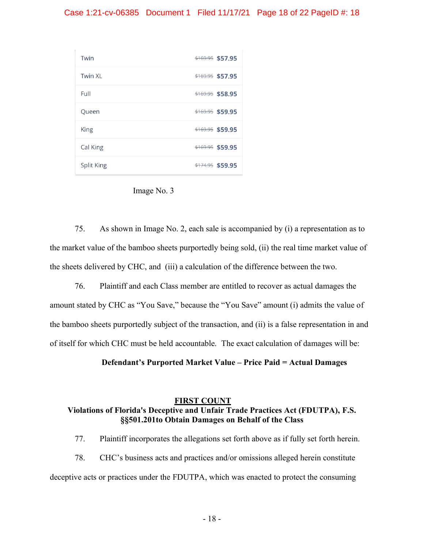#### Case 1:21-cv-06385 Document 1 Filed 11/17/21 Page 18 of 22 PageID #: 18





75. As shown in Image No. 2, each sale is accompanied by (i) a representation as to the market value of the bamboo sheets purportedly being sold, (ii) the real time market value of the sheets delivered by CHC, and (iii) a calculation of the difference between the two.

76. Plaintiff and each Class member are entitled to recover as actual damages the amount stated by CHC as "You Save," because the "You Save" amount (i) admits the value of the bamboo sheets purportedly subject of the transaction, and (ii) is a false representation in and of itself for which CHC must be held accountable. The exact calculation of damages will be:

**Defendant's Purported Market Value – Price Paid = Actual Damages** 

## **FIRST COUNT Violations of Florida's Deceptive and Unfair Trade Practices Act (FDUTPA), F.S. §§501.201to Obtain Damages on Behalf of the Class**

77. Plaintiff incorporates the allegations set forth above as if fully set forth herein.

78. CHC's business acts and practices and/or omissions alleged herein constitute deceptive acts or practices under the FDUTPA, which was enacted to protect the consuming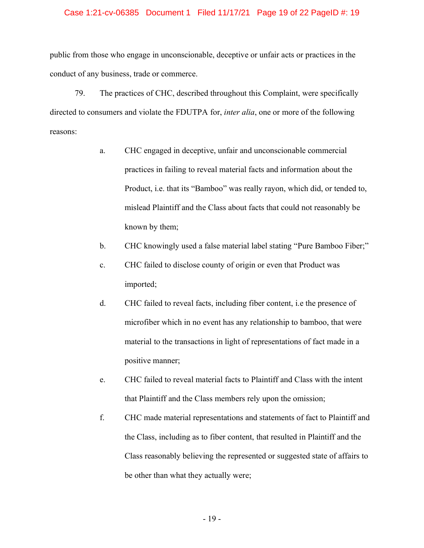#### Case 1:21-cv-06385 Document 1 Filed 11/17/21 Page 19 of 22 PageID #: 19

public from those who engage in unconscionable, deceptive or unfair acts or practices in the conduct of any business, trade or commerce.

79. The practices of CHC, described throughout this Complaint, were specifically directed to consumers and violate the FDUTPA for, *inter alia*, one or more of the following reasons:

- a. CHC engaged in deceptive, unfair and unconscionable commercial practices in failing to reveal material facts and information about the Product, i.e. that its "Bamboo" was really rayon, which did, or tended to, mislead Plaintiff and the Class about facts that could not reasonably be known by them;
- b. CHC knowingly used a false material label stating "Pure Bamboo Fiber;"
- c. CHC failed to disclose county of origin or even that Product was imported;
- d. CHC failed to reveal facts, including fiber content, i.e the presence of microfiber which in no event has any relationship to bamboo, that were material to the transactions in light of representations of fact made in a positive manner;
- e. CHC failed to reveal material facts to Plaintiff and Class with the intent that Plaintiff and the Class members rely upon the omission;
- f. CHC made material representations and statements of fact to Plaintiff and the Class, including as to fiber content, that resulted in Plaintiff and the Class reasonably believing the represented or suggested state of affairs to be other than what they actually were;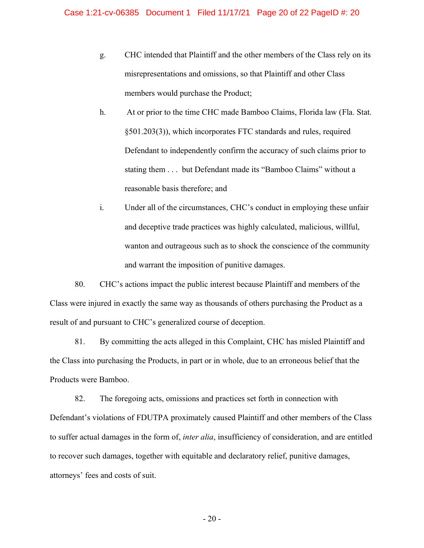- g. CHC intended that Plaintiff and the other members of the Class rely on its misrepresentations and omissions, so that Plaintiff and other Class members would purchase the Product;
- h. At or prior to the time CHC made Bamboo Claims, Florida law (Fla. Stat. §501.203(3)), which incorporates FTC standards and rules, required Defendant to independently confirm the accuracy of such claims prior to stating them . . . but Defendant made its "Bamboo Claims" without a reasonable basis therefore; and
- i. Under all of the circumstances, CHC's conduct in employing these unfair and deceptive trade practices was highly calculated, malicious, willful, wanton and outrageous such as to shock the conscience of the community and warrant the imposition of punitive damages.

80. CHC's actions impact the public interest because Plaintiff and members of the Class were injured in exactly the same way as thousands of others purchasing the Product as a result of and pursuant to CHC's generalized course of deception.

81. By committing the acts alleged in this Complaint, CHC has misled Plaintiff and the Class into purchasing the Products, in part or in whole, due to an erroneous belief that the Products were Bamboo.

82. The foregoing acts, omissions and practices set forth in connection with Defendant's violations of FDUTPA proximately caused Plaintiff and other members of the Class to suffer actual damages in the form of, *inter alia*, insufficiency of consideration, and are entitled to recover such damages, together with equitable and declaratory relief, punitive damages, attorneys' fees and costs of suit.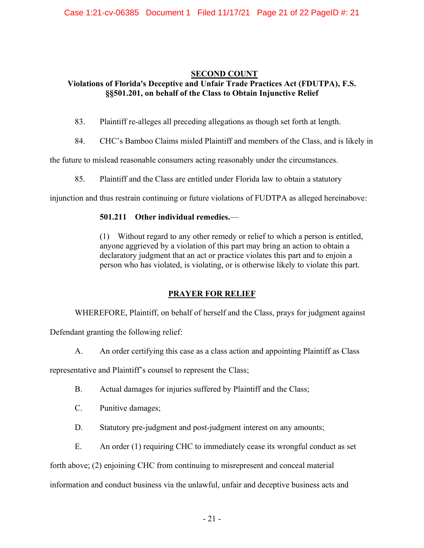## **SECOND COUNT**

## **Violations of Florida's Deceptive and Unfair Trade Practices Act (FDUTPA), F.S. §§501.201, on behalf of the Class to Obtain Injunctive Relief**

- 83. Plaintiff re-alleges all preceding allegations as though set forth at length.
- 84. CHC's Bamboo Claims misled Plaintiff and members of the Class, and is likely in

the future to mislead reasonable consumers acting reasonably under the circumstances.

85. Plaintiff and the Class are entitled under Florida law to obtain a statutory

injunction and thus restrain continuing or future violations of FUDTPA as alleged hereinabove:

## **501.211** Other individual remedies.

(1) Without regard to any other remedy or relief to which a person is entitled, anyone aggrieved by a violation of this part may bring an action to obtain a declaratory judgment that an act or practice violates this part and to enjoin a person who has violated, is violating, or is otherwise likely to violate this part.

## **PRAYER FOR RELIEF**

WHEREFORE, Plaintiff, on behalf of herself and the Class, prays for judgment against

Defendant granting the following relief:

A. An order certifying this case as a class action and appointing Plaintiff as Class

representative and Plaintiff's counsel to represent the Class;

- B. Actual damages for injuries suffered by Plaintiff and the Class;
- C. Punitive damages;
- D. Statutory pre-judgment and post-judgment interest on any amounts;
- E. An order (1) requiring CHC to immediately cease its wrongful conduct as set

forth above; (2) enjoining CHC from continuing to misrepresent and conceal material

information and conduct business via the unlawful, unfair and deceptive business acts and